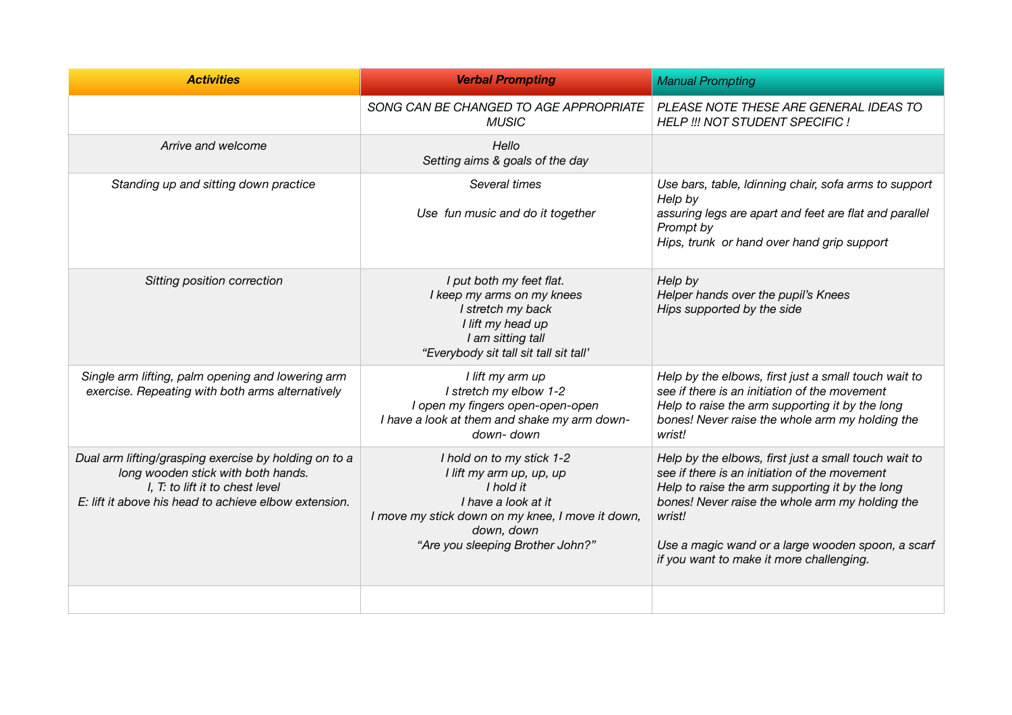| <b>Activities</b>                                                                                                                                                                       | <b>Verbal Prompting</b>                                                                                                                                                                         | <b>Manual Prompting</b>                                                                                                                                                                                                                                                                                                |
|-----------------------------------------------------------------------------------------------------------------------------------------------------------------------------------------|-------------------------------------------------------------------------------------------------------------------------------------------------------------------------------------------------|------------------------------------------------------------------------------------------------------------------------------------------------------------------------------------------------------------------------------------------------------------------------------------------------------------------------|
|                                                                                                                                                                                         | SONG CAN BE CHANGED TO AGE APPROPRIATE<br><b>MUSIC</b>                                                                                                                                          | PLEASE NOTE THESE ARE GENERAL IDEAS TO<br>HELP !!! NOT STUDENT SPECIFIC !                                                                                                                                                                                                                                              |
| Arrive and welcome                                                                                                                                                                      | Hello<br>Setting aims & goals of the day                                                                                                                                                        |                                                                                                                                                                                                                                                                                                                        |
| Standing up and sitting down practice                                                                                                                                                   | Several times<br>Use fun music and do it together                                                                                                                                               | Use bars, table, Idinning chair, sofa arms to support<br>Help by<br>assuring legs are apart and feet are flat and parallel<br>Prompt by<br>Hips, trunk or hand over hand grip support                                                                                                                                  |
| Sitting position correction                                                                                                                                                             | I put both my feet flat.<br>I keep my arms on my knees<br>I stretch my back<br>I lift my head up<br>I am sitting tall<br>"Everybody sit tall sit tall sit tall'                                 | Help by<br>Helper hands over the pupil's Knees<br>Hips supported by the side                                                                                                                                                                                                                                           |
| Single arm lifting, palm opening and lowering arm<br>exercise. Repeating with both arms alternatively                                                                                   | I lift my arm up<br>I stretch my elbow 1-2<br>I open my fingers open-open-open<br>I have a look at them and shake my arm down-<br>down-down                                                     | Help by the elbows, first just a small touch wait to<br>see if there is an initiation of the movement<br>Help to raise the arm supporting it by the long<br>bones! Never raise the whole arm my holding the<br>wrist!                                                                                                  |
| Dual arm lifting/grasping exercise by holding on to a<br>long wooden stick with both hands.<br>I, T: to lift it to chest level<br>E: lift it above his head to achieve elbow extension. | I hold on to my stick 1-2<br>I lift my arm up, up, up<br>I hold it<br>I have a look at it<br>I move my stick down on my knee, I move it down,<br>down, down<br>"Are you sleeping Brother John?" | Help by the elbows, first just a small touch wait to<br>see if there is an initiation of the movement<br>Help to raise the arm supporting it by the long<br>bones! Never raise the whole arm my holding the<br>wrist!<br>Use a magic wand or a large wooden spoon, a scarf<br>if you want to make it more challenging. |
|                                                                                                                                                                                         |                                                                                                                                                                                                 |                                                                                                                                                                                                                                                                                                                        |